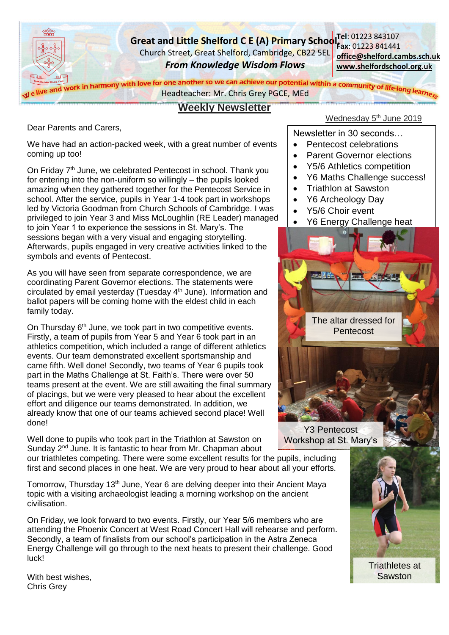

# **Weekly Newsletter**

Dear Parents and Carers,

We have had an action-packed week, with a great number of events coming up too!

On Friday 7<sup>th</sup> June, we celebrated Pentecost in school. Thank you for entering into the non-uniform so willingly – the pupils looked amazing when they gathered together for the Pentecost Service in school. After the service, pupils in Year 1-4 took part in workshops led by Victoria Goodman from Church Schools of Cambridge. I was privileged to join Year 3 and Miss McLoughlin (RE Leader) managed to join Year 1 to experience the sessions in St. Mary's. The sessions began with a very visual and engaging storytelling. Afterwards, pupils engaged in very creative activities linked to the symbols and events of Pentecost.

As you will have seen from separate correspondence, we are coordinating Parent Governor elections. The statements were circulated by email yesterday (Tuesday 4<sup>th</sup> June). Information and ballot papers will be coming home with the eldest child in each family today.

On Thursday 6<sup>th</sup> June, we took part in two competitive events. Firstly, a team of pupils from Year 5 and Year 6 took part in an athletics competition, which included a range of different athletics events. Our team demonstrated excellent sportsmanship and came fifth. Well done! Secondly, two teams of Year 6 pupils took part in the Maths Challenge at St. Faith's. There were over 50 teams present at the event. We are still awaiting the final summary of placings, but we were very pleased to hear about the excellent effort and diligence our teams demonstrated. In addition, we already know that one of our teams achieved second place! Well done!

Well done to pupils who took part in the Triathlon at Sawston on Sunday 2<sup>nd</sup> June. It is fantastic to hear from Mr. Chapman about Wednesday 5<sup>th</sup> June 2019

Newsletter in 30 seconds…

- Pentecost celebrations
- Parent Governor elections
- Y5/6 Athletics competition
- Y6 Maths Challenge success!
- Triathlon at Sawston
- Y6 Archeology Day
- Y5/6 Choir event
- Y6 Energy Challenge heat



Y3 Pentecost Workshop at St. Mary's

our triathletes competing. There were some excellent results for the pupils, including first and second places in one heat. We are very proud to hear about all your efforts.

Tomorrow, Thursday 13<sup>th</sup> June, Year 6 are delving deeper into their Ancient Maya topic with a visiting archaeologist leading a morning workshop on the ancient civilisation.

On Friday, we look forward to two events. Firstly, our Year 5/6 members who are attending the Phoenix Concert at West Road Concert Hall will rehearse and perform. Secondly, a team of finalists from our school's participation in the Astra Zeneca Energy Challenge will go through to the next heats to present their challenge. Good luck!



Triathletes at **Sawston** 

With best wishes, Chris Grey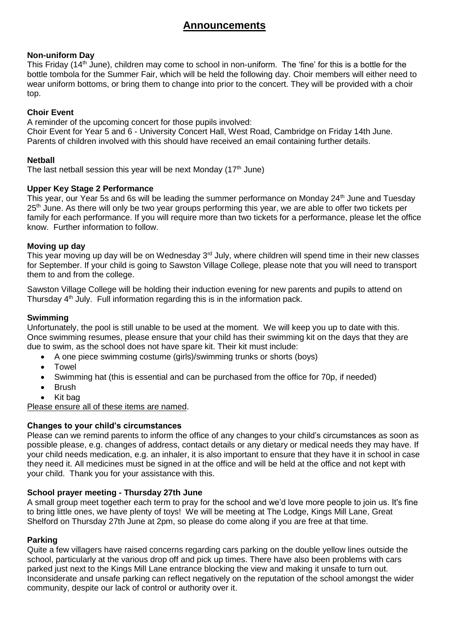# **Announcements**

#### **Non-uniform Day**

This Friday (14<sup>th</sup> June), children may come to school in non-uniform. The 'fine' for this is a bottle for the bottle tombola for the Summer Fair, which will be held the following day. Choir members will either need to wear uniform bottoms, or bring them to change into prior to the concert. They will be provided with a choir top.

#### **Choir Event**

A reminder of the upcoming concert for those pupils involved:

Choir Event for Year 5 and 6 - University Concert Hall, West Road, Cambridge on Friday 14th June. Parents of children involved with this should have received an email containing further details.

#### **Netball**

The last netball session this year will be next Monday  $(17<sup>th</sup>$  June)

#### **Upper Key Stage 2 Performance**

This year, our Year 5s and 6s will be leading the summer performance on Monday 24<sup>th</sup> June and Tuesday 25<sup>th</sup> June. As there will only be two year groups performing this year, we are able to offer two tickets per family for each performance. If you will require more than two tickets for a performance, please let the office know. Further information to follow.

#### **Moving up day**

This year moving up day will be on Wednesday 3<sup>rd</sup> July, where children will spend time in their new classes for September. If your child is going to Sawston Village College, please note that you will need to transport them to and from the college.

Sawston Village College will be holding their induction evening for new parents and pupils to attend on Thursday 4<sup>th</sup> July. Full information regarding this is in the information pack.

#### **Swimming**

Unfortunately, the pool is still unable to be used at the moment. We will keep you up to date with this. Once swimming resumes, please ensure that your child has their swimming kit on the days that they are due to swim, as the school does not have spare kit. Their kit must include:

- A one piece swimming costume (girls)/swimming trunks or shorts (boys)
- Towel
- Swimming hat (this is essential and can be purchased from the office for 70p, if needed)
- Brush
- Kit bag

Please ensure all of these items are named.

#### **Changes to your child's circumstances**

Please can we remind parents to inform the office of any changes to your child's circumstances as soon as possible please, e.g. changes of address, contact details or any dietary or medical needs they may have. If your child needs medication, e.g. an inhaler, it is also important to ensure that they have it in school in case they need it. All medicines must be signed in at the office and will be held at the office and not kept with your child. Thank you for your assistance with this.

#### **School prayer meeting - Thursday 27th June**

A small group meet together each term to pray for the school and we'd love more people to join us. It's fine to bring little ones, we have plenty of toys! We will be meeting at The Lodge, Kings Mill Lane, Great Shelford on Thursday 27th June at 2pm, so please do come along if you are free at that time.

#### **Parking**

Quite a few villagers have raised concerns regarding cars parking on the double yellow lines outside the school, particularly at the various drop off and pick up times. There have also been problems with cars parked just next to the Kings Mill Lane entrance blocking the view and making it unsafe to turn out. Inconsiderate and unsafe parking can reflect negatively on the reputation of the school amongst the wider community, despite our lack of control or authority over it.